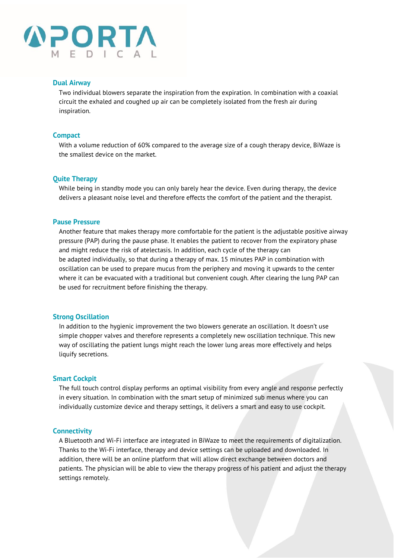

#### **Dual Airway**

Two individual blowers separate the inspiration from the expiration. In combination with a coaxial circuit the exhaled and coughed up air can be completely isolated from the fresh air during inspiration.

#### **Compact**

With a volume reduction of 60% compared to the average size of a cough therapy device, BiWaze is the smallest device on the market.

#### **Quite Therapy**

While being in standby mode you can only barely hear the device. Even during therapy, the device delivers a pleasant noise level and therefore effects the comfort of the patient and the therapist.

#### **Pause Pressure**

Another feature that makes therapy more comfortable for the patient is the adjustable positive airway pressure (PAP) during the pause phase. It enables the patient to recover from the expiratory phase and might reduce the risk of atelectasis. In addition, each cycle of the therapy can be adapted individually, so that during a therapy of max. 15 minutes PAP in combination with oscillation can be used to prepare mucus from the periphery and moving it upwards to the center where it can be evacuated with a traditional but convenient cough. After clearing the lung PAP can be used for recruitment before finishing the therapy.

#### **Strong Oscillation**

In addition to the hygienic improvement the two blowers generate an oscillation. It doesn't use simple chopper valves and therefore represents a completely new oscillation technique. This new way of oscillating the patient lungs might reach the lower lung areas more effectively and helps liquify secretions.

#### **Smart Cockpit**

The full touch control display performs an optimal visibility from every angle and response perfectly in every situation. In combination with the smart setup of minimized sub menus where you can individually customize device and therapy settings, it delivers a smart and easy to use cockpit.

#### **Connectivity**

A Bluetooth and Wi-Fi interface are integrated in BiWaze to meet the requirements of digitalization. Thanks to the Wi-Fi interface, therapy and device settings can be uploaded and downloaded. In addition, there will be an online platform that will allow direct exchange between doctors and patients. The physician will be able to view the therapy progress of his patient and adjust the therapy settings remotely.